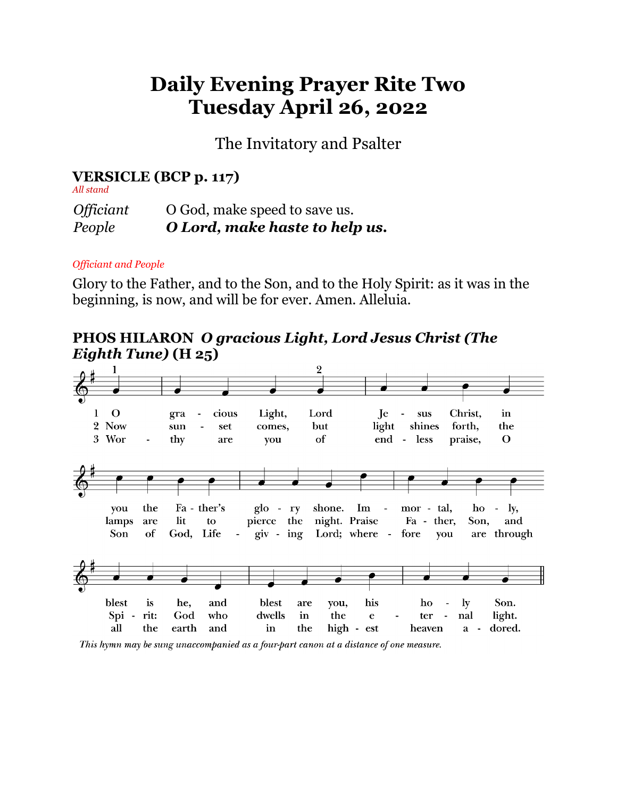# **Daily Evening Prayer Rite Two Tuesday April 26, 2022**

The Invitatory and Psalter

### **VERSICLE (BCP p. 117)**

*All stand*

### *Officiant* O God, make speed to save us. *People O Lord, make haste to help us.*

*Officiant and People*

Glory to the Father, and to the Son, and to the Holy Spirit: as it was in the beginning, is now, and will be for ever. Amen. Alleluia.

#### **PHOS HILARON** *O gracious Light, Lord Jesus Christ (The Eighth Tune)* **(H 25)**



This hymn may be sung unaccompanied as a four-part canon at a distance of one measure.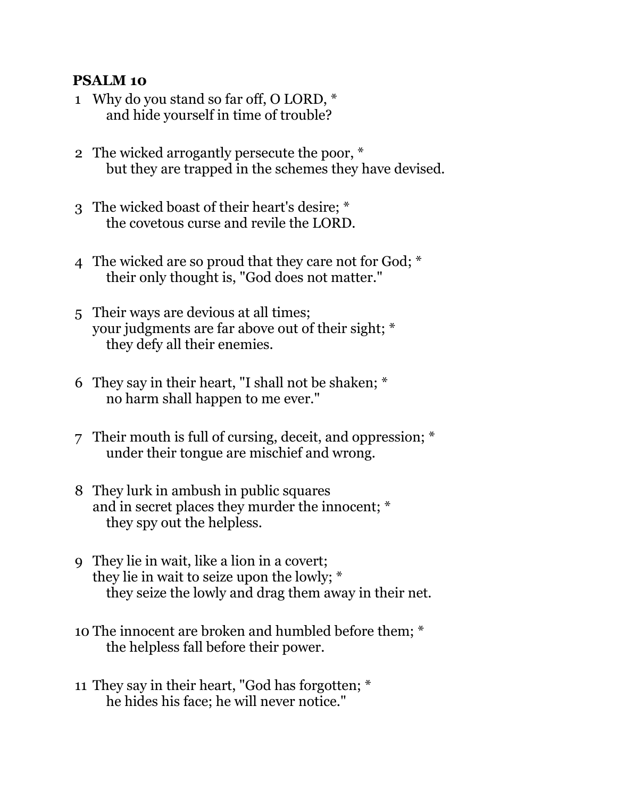#### **PSALM 10**

- 1 Why do you stand so far off, O LORD, \* and hide yourself in time of trouble?
- 2 The wicked arrogantly persecute the poor, \* but they are trapped in the schemes they have devised.
- 3 The wicked boast of their heart's desire; \* the covetous curse and revile the LORD.
- 4 The wicked are so proud that they care not for God; \* their only thought is, "God does not matter."
- 5 Their ways are devious at all times; your judgments are far above out of their sight; \* they defy all their enemies.
- 6 They say in their heart, "I shall not be shaken; \* no harm shall happen to me ever."
- 7 Their mouth is full of cursing, deceit, and oppression; \* under their tongue are mischief and wrong.
- 8 They lurk in ambush in public squares and in secret places they murder the innocent; \* they spy out the helpless.
- 9 They lie in wait, like a lion in a covert; they lie in wait to seize upon the lowly; \* they seize the lowly and drag them away in their net.
- 10 The innocent are broken and humbled before them; \* the helpless fall before their power.
- 11 They say in their heart, "God has forgotten; \* he hides his face; he will never notice."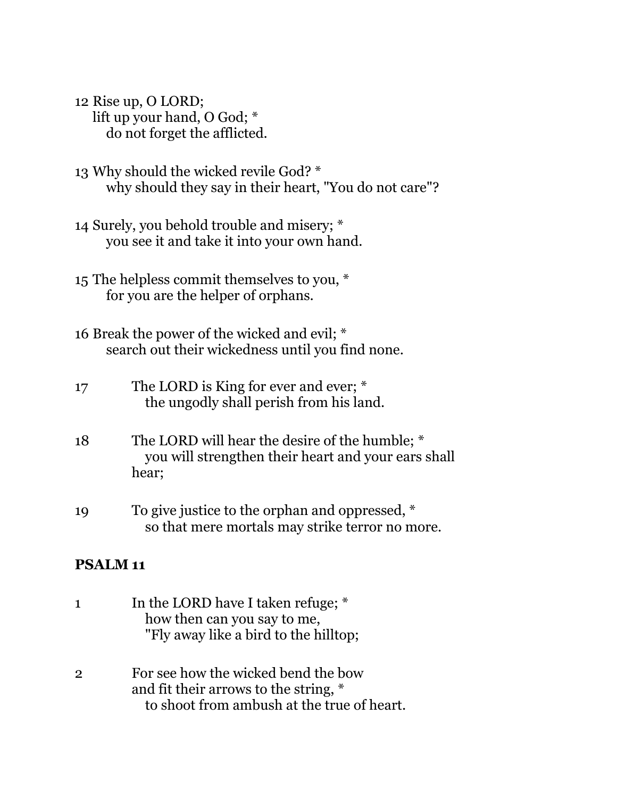- 12 Rise up, O LORD; lift up your hand, O God; \* do not forget the afflicted.
- 13 Why should the wicked revile God? \* why should they say in their heart, "You do not care"?
- 14 Surely, you behold trouble and misery; \* you see it and take it into your own hand.
- 15 The helpless commit themselves to you, \* for you are the helper of orphans.
- 16 Break the power of the wicked and evil; \* search out their wickedness until you find none.
- 17 The LORD is King for ever and ever;  $*$ the ungodly shall perish from his land.
- 18 The LORD will hear the desire of the humble; \* you will strengthen their heart and your ears shall hear;
- 19 To give justice to the orphan and oppressed, \* so that mere mortals may strike terror no more.

#### **PSALM 11**

- 1 In the LORD have I taken refuge; \* how then can you say to me, "Fly away like a bird to the hilltop;
- 2 For see how the wicked bend the bow and fit their arrows to the string, \* to shoot from ambush at the true of heart.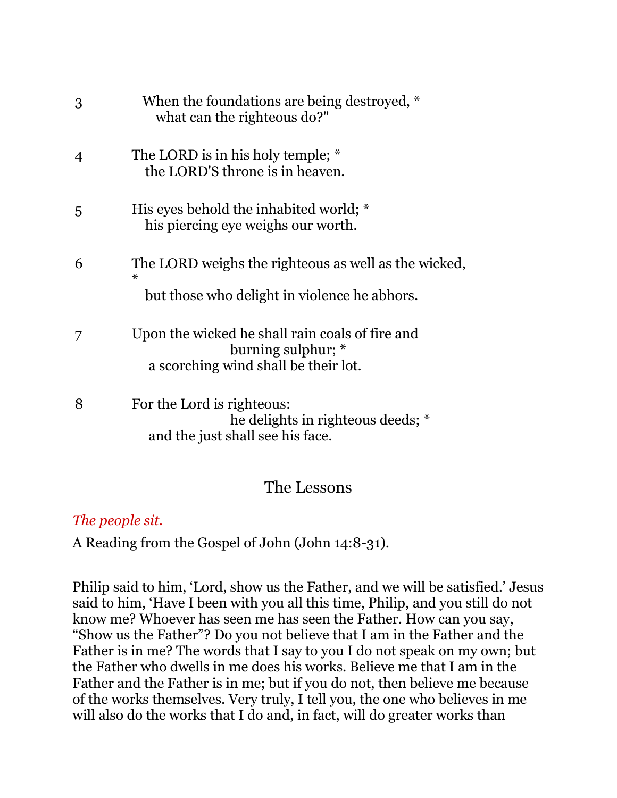| 3              | When the foundations are being destroyed, *<br>what can the righteous do?"                                    |
|----------------|---------------------------------------------------------------------------------------------------------------|
| $\overline{4}$ | The LORD is in his holy temple; *<br>the LORD'S throne is in heaven.                                          |
| 5              | His eyes behold the inhabited world; *<br>his piercing eye weighs our worth.                                  |
| 6              | The LORD weighs the righteous as well as the wicked,<br>∗<br>but those who delight in violence he abhors.     |
| 7              | Upon the wicked he shall rain coals of fire and<br>burning sulphur; *<br>a scorching wind shall be their lot. |
| 8              | For the Lord is righteous:<br>he delights in righteous deeds; *<br>and the just shall see his face.           |

### The Lessons

### *The people sit.*

A Reading from the Gospel of John (John 14:8-31).

Philip said to him, 'Lord, show us the Father, and we will be satisfied.' Jesus said to him, 'Have I been with you all this time, Philip, and you still do not know me? Whoever has seen me has seen the Father. How can you say, "Show us the Father"? Do you not believe that I am in the Father and the Father is in me? The words that I say to you I do not speak on my own; but the Father who dwells in me does his works. Believe me that I am in the Father and the Father is in me; but if you do not, then believe me because of the works themselves. Very truly, I tell you, the one who believes in me will also do the works that I do and, in fact, will do greater works than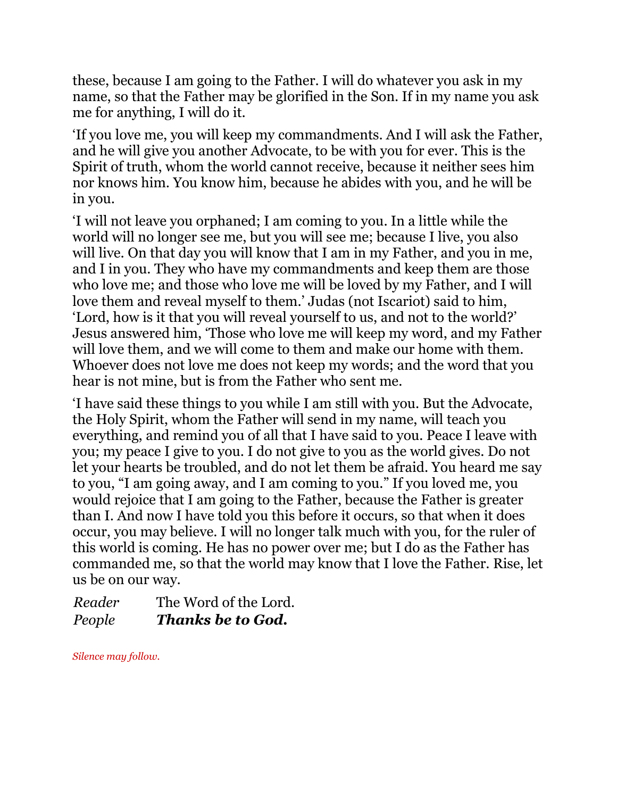these, because I am going to the Father. I will do whatever you ask in my name, so that the Father may be glorified in the Son. If in my name you ask me for anything, I will do it.

'If you love me, you will keep my commandments. And I will ask the Father, and he will give you another Advocate, to be with you for ever. This is the Spirit of truth, whom the world cannot receive, because it neither sees him nor knows him. You know him, because he abides with you, and he will be in you.

'I will not leave you orphaned; I am coming to you. In a little while the world will no longer see me, but you will see me; because I live, you also will live. On that day you will know that I am in my Father, and you in me, and I in you. They who have my commandments and keep them are those who love me; and those who love me will be loved by my Father, and I will love them and reveal myself to them.' Judas (not Iscariot) said to him, 'Lord, how is it that you will reveal yourself to us, and not to the world?' Jesus answered him, 'Those who love me will keep my word, and my Father will love them, and we will come to them and make our home with them. Whoever does not love me does not keep my words; and the word that you hear is not mine, but is from the Father who sent me.

'I have said these things to you while I am still with you. But the Advocate, the Holy Spirit, whom the Father will send in my name, will teach you everything, and remind you of all that I have said to you. Peace I leave with you; my peace I give to you. I do not give to you as the world gives. Do not let your hearts be troubled, and do not let them be afraid. You heard me say to you, "I am going away, and I am coming to you." If you loved me, you would rejoice that I am going to the Father, because the Father is greater than I. And now I have told you this before it occurs, so that when it does occur, you may believe. I will no longer talk much with you, for the ruler of this world is coming. He has no power over me; but I do as the Father has commanded me, so that the world may know that I love the Father. Rise, let us be on our way.

*Reader* The Word of the Lord. *People Thanks be to God.*

*Silence may follow.*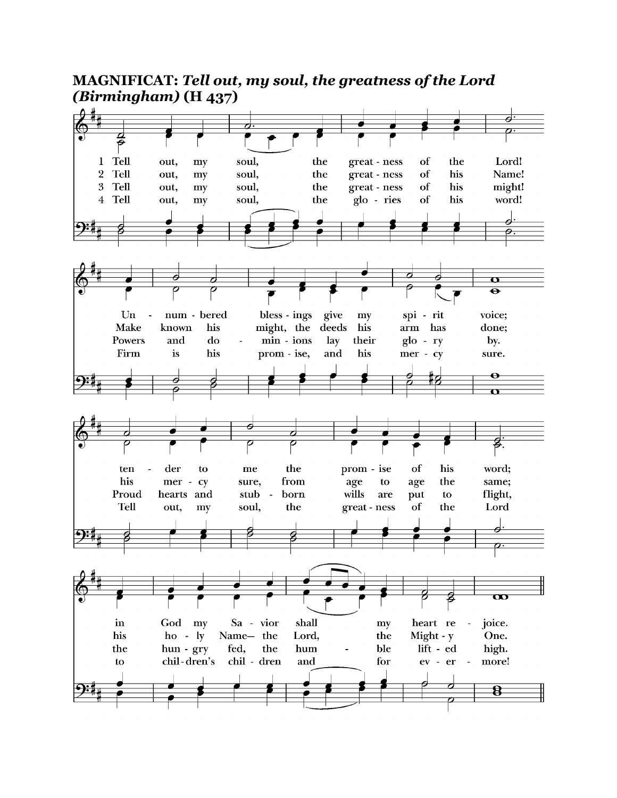### **MAGNIFICAT:** *Tell out, my soul, the greatness of the Lord (Birmingham)* **(H 437)**

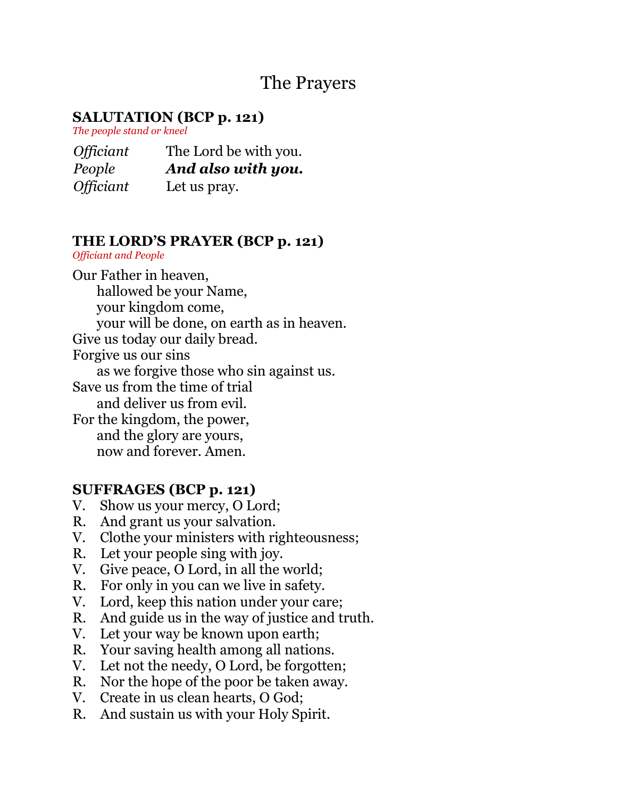## The Prayers

#### **SALUTATION (BCP p. 121)**

*The people stand or kneel*

| <i><b>Officiant</b></i> | The Lord be with you. |
|-------------------------|-----------------------|
| People                  | And also with you.    |
| <i><b>Officiant</b></i> | Let us pray.          |

#### **THE LORD'S PRAYER (BCP p. 121)**

*Officiant and People*

Our Father in heaven, hallowed be your Name, your kingdom come, your will be done, on earth as in heaven. Give us today our daily bread. Forgive us our sins as we forgive those who sin against us. Save us from the time of trial and deliver us from evil. For the kingdom, the power, and the glory are yours,

now and forever. Amen.

#### **SUFFRAGES (BCP p. 121)**

- V. Show us your mercy, O Lord;
- R. And grant us your salvation.
- V. Clothe your ministers with righteousness;
- R. Let your people sing with joy.
- V. Give peace, O Lord, in all the world;
- R. For only in you can we live in safety.
- V. Lord, keep this nation under your care;
- R. And guide us in the way of justice and truth.
- V. Let your way be known upon earth;
- R. Your saving health among all nations.
- V. Let not the needy, O Lord, be forgotten;
- R. Nor the hope of the poor be taken away.
- V. Create in us clean hearts, O God;
- R. And sustain us with your Holy Spirit.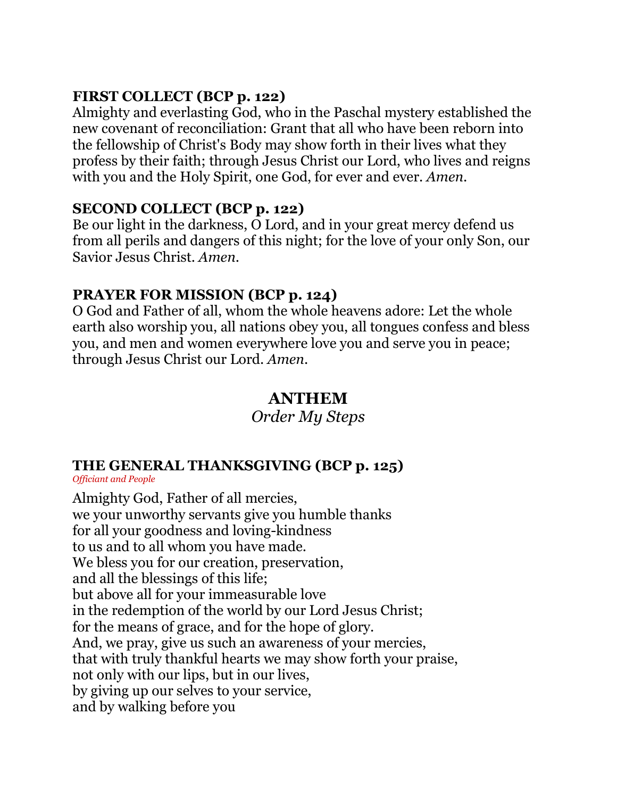### **FIRST COLLECT (BCP p. 122)**

Almighty and everlasting God, who in the Paschal mystery established the new covenant of reconciliation: Grant that all who have been reborn into the fellowship of Christ's Body may show forth in their lives what they profess by their faith; through Jesus Christ our Lord, who lives and reigns with you and the Holy Spirit, one God, for ever and ever. *Amen.*

### **SECOND COLLECT (BCP p. 122)**

Be our light in the darkness, O Lord, and in your great mercy defend us from all perils and dangers of this night; for the love of your only Son, our Savior Jesus Christ. *Amen*.

### **PRAYER FOR MISSION (BCP p. 124)**

O God and Father of all, whom the whole heavens adore: Let the whole earth also worship you, all nations obey you, all tongues confess and bless you, and men and women everywhere love you and serve you in peace; through Jesus Christ our Lord. *Amen*.

### **ANTHEM**

*Order My Steps*

### **THE GENERAL THANKSGIVING (BCP p. 125)**

*Officiant and People*

Almighty God, Father of all mercies, we your unworthy servants give you humble thanks for all your goodness and loving-kindness to us and to all whom you have made. We bless you for our creation, preservation, and all the blessings of this life; but above all for your immeasurable love in the redemption of the world by our Lord Jesus Christ; for the means of grace, and for the hope of glory. And, we pray, give us such an awareness of your mercies, that with truly thankful hearts we may show forth your praise, not only with our lips, but in our lives, by giving up our selves to your service, and by walking before you